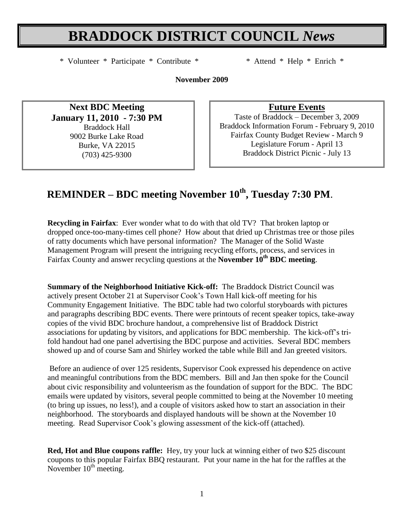# **BRADDOCK DISTRICT COUNCIL** *News*

\* Volunteer \* Participate \* Contribute \* \* Attend \* Help \* Enrich \*

**November 2009**

**Next BDC Meeting January 11, 2010 - 7:30 PM** Braddock Hall 9002 Burke Lake Road Burke, VA 22015 (703) 425-9300

**Future Events**

Taste of Braddock – December 3, 2009 Braddock Information Forum - February 9, 2010 Fairfax County Budget Review - March 9 Legislature Forum - April 13 Braddock District Picnic - July 13

# **REMINDER – BDC meeting November 10th , Tuesday 7:30 PM**.

**Recycling in Fairfax**: Ever wonder what to do with that old TV? That broken laptop or dropped once-too-many-times cell phone? How about that dried up Christmas tree or those piles of ratty documents which have personal information? The Manager of the Solid Waste Management Program will present the intriguing recycling efforts, process, and services in Fairfax County and answer recycling questions at the **November 10th BDC meeting**.

**Summary of the Neighborhood Initiative Kick-off:** The Braddock District Council was actively present October 21 at Supervisor Cook"s Town Hall kick-off meeting for his Community Engagement Initiative. The BDC table had two colorful storyboards with pictures and paragraphs describing BDC events. There were printouts of recent speaker topics, take-away copies of the vivid BDC brochure handout, a comprehensive list of Braddock District associations for updating by visitors, and applications for BDC membership. The kick-off"s trifold handout had one panel advertising the BDC purpose and activities. Several BDC members showed up and of course Sam and Shirley worked the table while Bill and Jan greeted visitors.

Before an audience of over 125 residents, Supervisor Cook expressed his dependence on active and meaningful contributions from the BDC members. Bill and Jan then spoke for the Council about civic responsibility and volunteerism as the foundation of support for the BDC. The BDC emails were updated by visitors, several people committed to being at the November 10 meeting (to bring up issues, no less!), and a couple of visitors asked how to start an association in their neighborhood. The storyboards and displayed handouts will be shown at the November 10 meeting. Read Supervisor Cook's glowing assessment of the kick-off (attached).

**Red, Hot and Blue coupons raffle:** Hey, try your luck at winning either of two \$25 discount coupons to this popular Fairfax BBQ restaurant. Put your name in the hat for the raffles at the November  $10<sup>th</sup>$  meeting.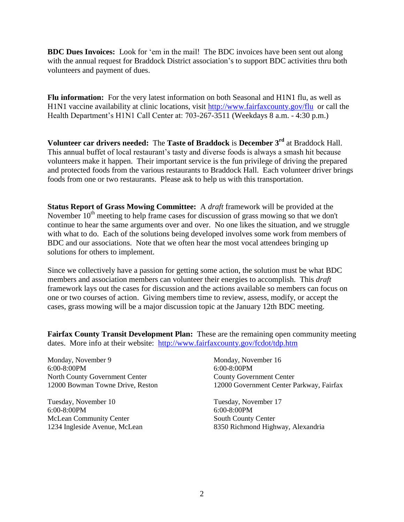**BDC Dues Invoices:** Look for "em in the mail! The BDC invoices have been sent out along with the annual request for Braddock District association's to support BDC activities thru both volunteers and payment of dues.

**Flu information:** For the very latest information on both Seasonal and H1N1 flu, as well as H1N1 vaccine availability at clinic locations, visit<http://www.fairfaxcounty.gov/flu>or call the Health Department's H1N1 Call Center at: 703-267-3511 (Weekdays 8 a.m. - 4:30 p.m.)

**Volunteer car drivers needed:** The **Taste of Braddock** is **December 3rd** at Braddock Hall. This annual buffet of local restaurant's tasty and diverse foods is always a smash hit because volunteers make it happen. Their important service is the fun privilege of driving the prepared and protected foods from the various restaurants to Braddock Hall. Each volunteer driver brings foods from one or two restaurants. Please ask to help us with this transportation.

**Status Report of Grass Mowing Committee:** A *draft* framework will be provided at the November  $10^{th}$  meeting to help frame cases for discussion of grass mowing so that we don't continue to hear the same arguments over and over. No one likes the situation, and we struggle with what to do. Each of the solutions being developed involves some work from members of BDC and our associations. Note that we often hear the most vocal attendees bringing up solutions for others to implement.

Since we collectively have a passion for getting some action, the solution must be what BDC members and association members can volunteer their energies to accomplish. This *draft* framework lays out the cases for discussion and the actions available so members can focus on one or two courses of action. Giving members time to review, assess, modify, or accept the cases, grass mowing will be a major discussion topic at the January 12th BDC meeting.

**Fairfax County Transit Development Plan:** These are the remaining open community meeting dates. More info at their website: <http://www.fairfaxcounty.gov/fcdot/tdp.htm>

Monday, November 9 6:00-8:00PM North County Government Center 12000 Bowman Towne Drive, Reston

Tuesday, November 10 6:00-8:00PM McLean Community Center 1234 Ingleside Avenue, McLean Monday, November 16 6:00-8:00PM County Government Center 12000 Government Center Parkway, Fairfax

Tuesday, November 17 6:00-8:00PM South County Center 8350 Richmond Highway, Alexandria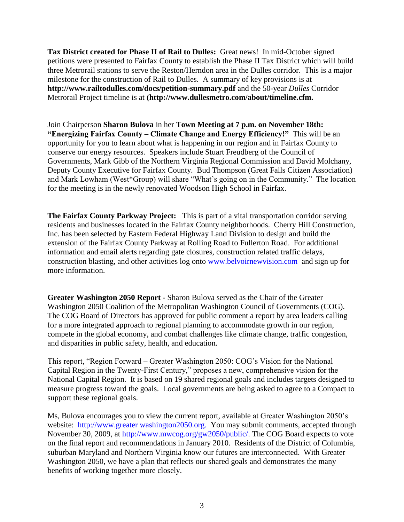**Tax District created for Phase II of Rail to Dulles:** Great news! In mid-October signed petitions were presented to Fairfax County to establish the Phase II Tax District which will build three Metrorail stations to serve the Reston/Herndon area in the Dulles corridor. This is a major milestone for the construction of Rail to Dulles. A summary of key provisions is at **http://www.railtodulles.com/docs/petition-summary.pdf** and the 50-year *Dulles* Corridor Metrorail Project timeline is at **(http://www.dullesmetro.com/about/timeline.cfm.**

Join Chairperson **Sharon Bulova** in her **Town Meeting at 7 p.m. on November 18th: "Energizing Fairfax County – Climate Change and Energy Efficiency!"** This will be an opportunity for you to learn about what is happening in our region and in Fairfax County to conserve our energy resources. Speakers include Stuart Freudberg of the Council of Governments, Mark Gibb of the Northern Virginia Regional Commission and David Molchany, Deputy County Executive for Fairfax County. Bud Thompson (Great Falls Citizen Association) and Mark Lowham (West\*Group) will share "What"s going on in the Community." The location for the meeting is in the newly renovated Woodson High School in Fairfax.

**The Fairfax County Parkway Project:** This is part of a vital transportation corridor serving residents and businesses located in the Fairfax County neighborhoods. Cherry Hill Construction, Inc. has been selected by Eastern Federal Highway Land Division to design and build the extension of the Fairfax County Parkway at Rolling Road to Fullerton Road. For additional information and email alerts regarding gate closures, construction related traffic delays, construction blasting, and other activities log onto [www.belvoirnewvision.com](http://www.belvoirnewvision.com/) and sign up for more information.

**Greater Washington 2050 Report** - Sharon Bulova served as the Chair of the Greater Washington 2050 Coalition of the Metropolitan Washington Council of Governments (COG). The COG Board of Directors has approved for public comment a report by area leaders calling for a more integrated approach to regional planning to accommodate growth in our region, compete in the global economy, and combat challenges like climate change, traffic congestion, and disparities in public safety, health, and education.

This report, "Region Forward – Greater Washington 2050: COG"s Vision for the National Capital Region in the Twenty-First Century," proposes a new, comprehensive vision for the National Capital Region. It is based on 19 shared regional goals and includes targets designed to measure progress toward the goals. Local governments are being asked to agree to a Compact to support these regional goals.

Ms, Bulova encourages you to view the current report, available at Greater Washington 2050"s website: http://www.greater washington2050.org. You may submit comments, accepted through November 30, 2009, at http://www.mwcog.org/gw2050/public/. The COG Board expects to vote on the final report and recommendations in January 2010. Residents of the District of Columbia, suburban Maryland and Northern Virginia know our futures are interconnected. With Greater Washington 2050, we have a plan that reflects our shared goals and demonstrates the many benefits of working together more closely.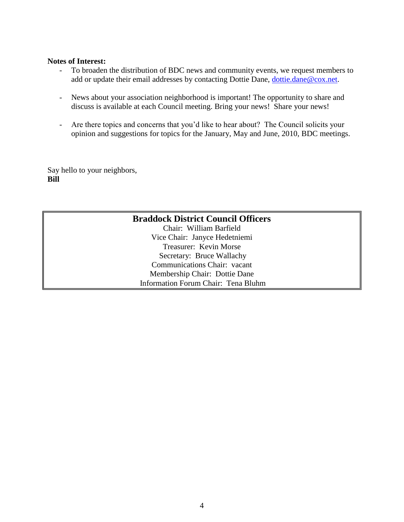#### **Notes of Interest:**

- To broaden the distribution of BDC news and community events, we request members to add or update their email addresses by contacting Dottie Dane, [dottie.dane@cox.net.](mailto:dottie.dane@cox.net)
- News about your association neighborhood is important! The opportunity to share and discuss is available at each Council meeting. Bring your news! Share your news!
- Are there topics and concerns that you"d like to hear about? The Council solicits your opinion and suggestions for topics for the January, May and June, 2010, BDC meetings.

Say hello to your neighbors, **Bill**

### **Braddock District Council Officers** Chair: William Barfield Vice Chair: Janyce Hedetniemi Treasurer: Kevin Morse Secretary: Bruce Wallachy Communications Chair: vacant Membership Chair: Dottie Dane Information Forum Chair: Tena Bluhm